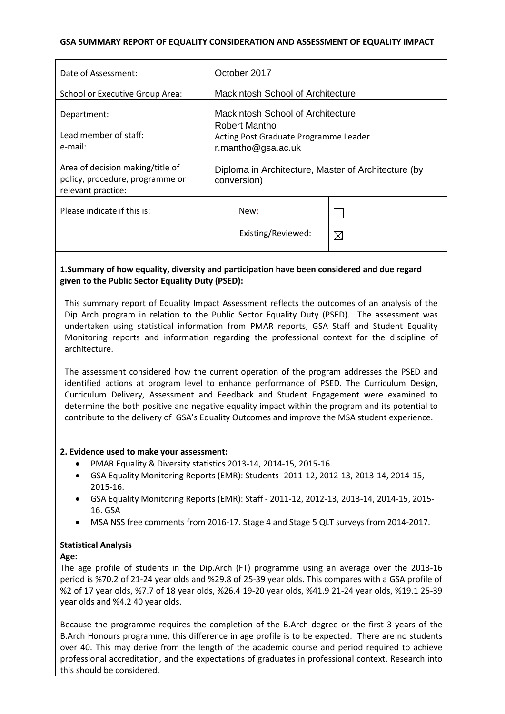### **GSA SUMMARY REPORT OF EQUALITY CONSIDERATION AND ASSESSMENT OF EQUALITY IMPACT**

| Date of Assessment:                                                                       | October 2017                                                                 |             |
|-------------------------------------------------------------------------------------------|------------------------------------------------------------------------------|-------------|
| School or Executive Group Area:                                                           | <b>Mackintosh School of Architecture</b>                                     |             |
| Department:                                                                               | <b>Mackintosh School of Architecture</b>                                     |             |
| Lead member of staff:<br>e-mail:                                                          | Robert Mantho<br>Acting Post Graduate Programme Leader<br>r.mantho@gsa.ac.uk |             |
| Area of decision making/title of<br>policy, procedure, programme or<br>relevant practice: | Diploma in Architecture, Master of Architecture (by<br>conversion)           |             |
| Please indicate if this is:                                                               | New:                                                                         |             |
|                                                                                           | Existing/Reviewed:                                                           | $\boxtimes$ |
|                                                                                           |                                                                              |             |

## **1.Summary of how equality, diversity and participation have been considered and due regard given to the Public Sector Equality Duty (PSED):**

This summary report of Equality Impact Assessment reflects the outcomes of an analysis of the Dip Arch program in relation to the Public Sector Equality Duty (PSED). The assessment was undertaken using statistical information from PMAR reports, GSA Staff and Student Equality Monitoring reports and information regarding the professional context for the discipline of architecture.

The assessment considered how the current operation of the program addresses the PSED and identified actions at program level to enhance performance of PSED. The Curriculum Design, Curriculum Delivery, Assessment and Feedback and Student Engagement were examined to determine the both positive and negative equality impact within the program and its potential to contribute to the delivery of GSA's Equality Outcomes and improve the MSA student experience.

#### **2. Evidence used to make your assessment:**

- PMAR Equality & Diversity statistics 2013-14, 2014-15, 2015-16.
- GSA Equality Monitoring Reports (EMR): Students -2011-12, 2012-13, 2013-14, 2014-15, 2015-16.
- GSA Equality Monitoring Reports (EMR): Staff 2011-12, 2012-13, 2013-14, 2014-15, 2015- 16. GSA
- MSA NSS free comments from 2016-17. Stage 4 and Stage 5 QLT surveys from 2014-2017.

## **Statistical Analysis**

#### **Age:**

The age profile of students in the Dip.Arch (FT) programme using an average over the 2013-16 period is %70.2 of 21-24 year olds and %29.8 of 25-39 year olds. This compares with a GSA profile of %2 of 17 year olds, %7.7 of 18 year olds, %26.4 19-20 year olds, %41.9 21-24 year olds, %19.1 25-39 year olds and %4.2 40 year olds.

Because the programme requires the completion of the B.Arch degree or the first 3 years of the B.Arch Honours programme, this difference in age profile is to be expected. There are no students over 40. This may derive from the length of the academic course and period required to achieve professional accreditation, and the expectations of graduates in professional context. Research into this should be considered.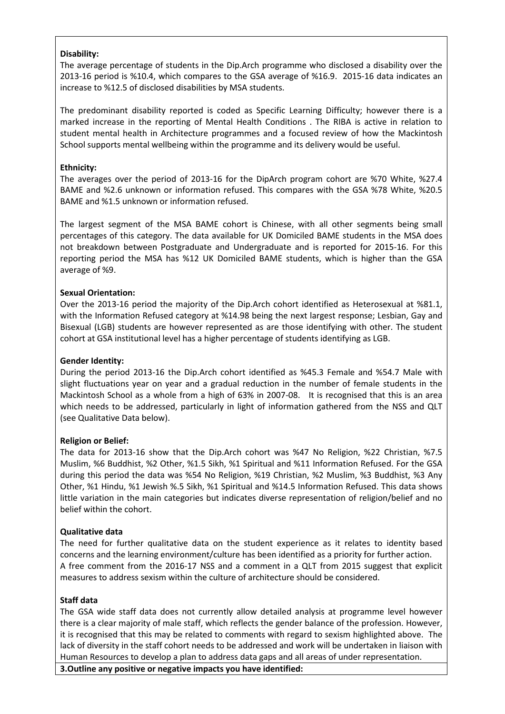#### **Disability:**

The average percentage of students in the Dip.Arch programme who disclosed a disability over the 2013-16 period is %10.4, which compares to the GSA average of %16.9. 2015-16 data indicates an increase to %12.5 of disclosed disabilities by MSA students.

The predominant disability reported is coded as Specific Learning Difficulty; however there is a marked increase in the reporting of Mental Health Conditions . The RIBA is active in relation to student mental health in Architecture programmes and a focused review of how the Mackintosh School supports mental wellbeing within the programme and its delivery would be useful.

#### **Ethnicity:**

The averages over the period of 2013-16 for the DipArch program cohort are %70 White, %27.4 BAME and %2.6 unknown or information refused. This compares with the GSA %78 White, %20.5 BAME and %1.5 unknown or information refused.

The largest segment of the MSA BAME cohort is Chinese, with all other segments being small percentages of this category. The data available for UK Domiciled BAME students in the MSA does not breakdown between Postgraduate and Undergraduate and is reported for 2015-16. For this reporting period the MSA has %12 UK Domiciled BAME students, which is higher than the GSA average of %9.

#### **Sexual Orientation:**

Over the 2013-16 period the majority of the Dip.Arch cohort identified as Heterosexual at %81.1, with the Information Refused category at %14.98 being the next largest response; Lesbian, Gay and Bisexual (LGB) students are however represented as are those identifying with other. The student cohort at GSA institutional level has a higher percentage of students identifying as LGB.

### **Gender Identity:**

During the period 2013-16 the Dip.Arch cohort identified as %45.3 Female and %54.7 Male with slight fluctuations year on year and a gradual reduction in the number of female students in the Mackintosh School as a whole from a high of 63% in 2007-08. It is recognised that this is an area which needs to be addressed, particularly in light of information gathered from the NSS and QLT (see Qualitative Data below).

#### **Religion or Belief:**

The data for 2013-16 show that the Dip.Arch cohort was %47 No Religion, %22 Christian, %7.5 Muslim, %6 Buddhist, %2 Other, %1.5 Sikh, %1 Spiritual and %11 Information Refused. For the GSA during this period the data was %54 No Religion, %19 Christian, %2 Muslim, %3 Buddhist, %3 Any Other, %1 Hindu, %1 Jewish %.5 Sikh, %1 Spiritual and %14.5 Information Refused. This data shows little variation in the main categories but indicates diverse representation of religion/belief and no belief within the cohort.

#### **Qualitative data**

The need for further qualitative data on the student experience as it relates to identity based concerns and the learning environment/culture has been identified as a priority for further action. A free comment from the 2016-17 NSS and a comment in a QLT from 2015 suggest that explicit measures to address sexism within the culture of architecture should be considered.

#### **Staff data**

The GSA wide staff data does not currently allow detailed analysis at programme level however there is a clear majority of male staff, which reflects the gender balance of the profession. However, it is recognised that this may be related to comments with regard to sexism highlighted above. The lack of diversity in the staff cohort needs to be addressed and work will be undertaken in liaison with Human Resources to develop a plan to address data gaps and all areas of under representation.

**3.Outline any positive or negative impacts you have identified:**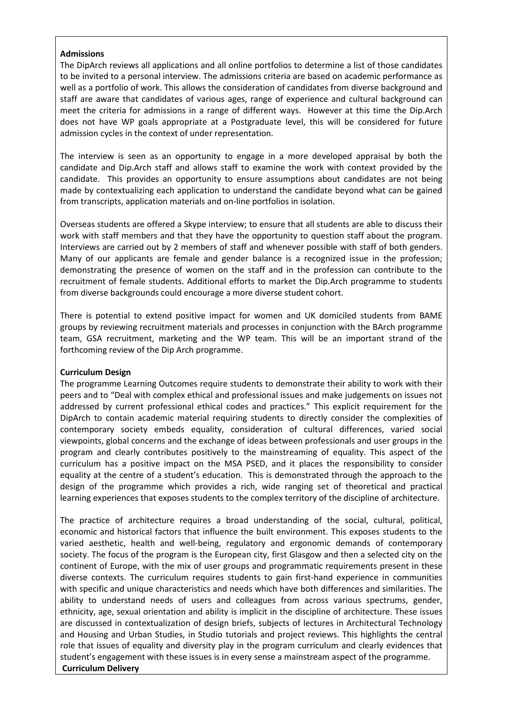#### **Admissions**

The DipArch reviews all applications and all online portfolios to determine a list of those candidates to be invited to a personal interview. The admissions criteria are based on academic performance as well as a portfolio of work. This allows the consideration of candidates from diverse background and staff are aware that candidates of various ages, range of experience and cultural background can meet the criteria for admissions in a range of different ways. However at this time the Dip.Arch does not have WP goals appropriate at a Postgraduate level, this will be considered for future admission cycles in the context of under representation.

The interview is seen as an opportunity to engage in a more developed appraisal by both the candidate and Dip.Arch staff and allows staff to examine the work with context provided by the candidate. This provides an opportunity to ensure assumptions about candidates are not being made by contextualizing each application to understand the candidate beyond what can be gained from transcripts, application materials and on-line portfolios in isolation.

Overseas students are offered a Skype interview; to ensure that all students are able to discuss their work with staff members and that they have the opportunity to question staff about the program. Interviews are carried out by 2 members of staff and whenever possible with staff of both genders. Many of our applicants are female and gender balance is a recognized issue in the profession; demonstrating the presence of women on the staff and in the profession can contribute to the recruitment of female students. Additional efforts to market the Dip.Arch programme to students from diverse backgrounds could encourage a more diverse student cohort.

There is potential to extend positive impact for women and UK domiciled students from BAME groups by reviewing recruitment materials and processes in conjunction with the BArch programme team, GSA recruitment, marketing and the WP team. This will be an important strand of the forthcoming review of the Dip Arch programme.

#### **Curriculum Design**

The programme Learning Outcomes require students to demonstrate their ability to work with their peers and to "Deal with complex ethical and professional issues and make judgements on issues not addressed by current professional ethical codes and practices." This explicit requirement for the DipArch to contain academic material requiring students to directly consider the complexities of contemporary society embeds equality, consideration of cultural differences, varied social viewpoints, global concerns and the exchange of ideas between professionals and user groups in the program and clearly contributes positively to the mainstreaming of equality. This aspect of the curriculum has a positive impact on the MSA PSED, and it places the responsibility to consider equality at the centre of a student's education. This is demonstrated through the approach to the design of the programme which provides a rich, wide ranging set of theoretical and practical learning experiences that exposes students to the complex territory of the discipline of architecture.

The practice of architecture requires a broad understanding of the social, cultural, political, economic and historical factors that influence the built environment. This exposes students to the varied aesthetic, health and well-being, regulatory and ergonomic demands of contemporary society. The focus of the program is the European city, first Glasgow and then a selected city on the continent of Europe, with the mix of user groups and programmatic requirements present in these diverse contexts. The curriculum requires students to gain first-hand experience in communities with specific and unique characteristics and needs which have both differences and similarities. The ability to understand needs of users and colleagues from across various spectrums, gender, ethnicity, age, sexual orientation and ability is implicit in the discipline of architecture. These issues are discussed in contextualization of design briefs, subjects of lectures in Architectural Technology and Housing and Urban Studies, in Studio tutorials and project reviews. This highlights the central role that issues of equality and diversity play in the program curriculum and clearly evidences that student's engagement with these issues is in every sense a mainstream aspect of the programme. **Curriculum Delivery**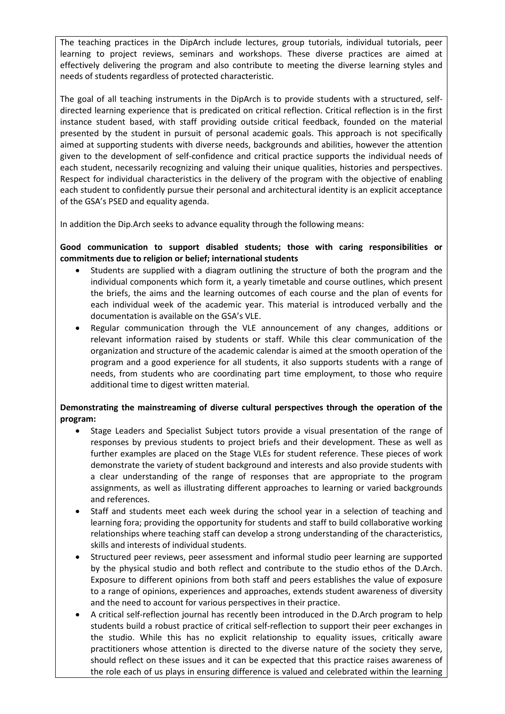The teaching practices in the DipArch include lectures, group tutorials, individual tutorials, peer learning to project reviews, seminars and workshops. These diverse practices are aimed at effectively delivering the program and also contribute to meeting the diverse learning styles and needs of students regardless of protected characteristic.

The goal of all teaching instruments in the DipArch is to provide students with a structured, selfdirected learning experience that is predicated on critical reflection. Critical reflection is in the first instance student based, with staff providing outside critical feedback, founded on the material presented by the student in pursuit of personal academic goals. This approach is not specifically aimed at supporting students with diverse needs, backgrounds and abilities, however the attention given to the development of self-confidence and critical practice supports the individual needs of each student, necessarily recognizing and valuing their unique qualities, histories and perspectives. Respect for individual characteristics in the delivery of the program with the objective of enabling each student to confidently pursue their personal and architectural identity is an explicit acceptance of the GSA's PSED and equality agenda.

In addition the Dip.Arch seeks to advance equality through the following means:

## **Good communication to support disabled students; those with caring responsibilities or commitments due to religion or belief; international students**

- Students are supplied with a diagram outlining the structure of both the program and the individual components which form it, a yearly timetable and course outlines, which present the briefs, the aims and the learning outcomes of each course and the plan of events for each individual week of the academic year. This material is introduced verbally and the documentation is available on the GSA's VLE.
- Regular communication through the VLE announcement of any changes, additions or relevant information raised by students or staff. While this clear communication of the organization and structure of the academic calendar is aimed at the smooth operation of the program and a good experience for all students, it also supports students with a range of needs, from students who are coordinating part time employment, to those who require additional time to digest written material.

## **Demonstrating the mainstreaming of diverse cultural perspectives through the operation of the program:**

- Stage Leaders and Specialist Subject tutors provide a visual presentation of the range of responses by previous students to project briefs and their development. These as well as further examples are placed on the Stage VLEs for student reference. These pieces of work demonstrate the variety of student background and interests and also provide students with a clear understanding of the range of responses that are appropriate to the program assignments, as well as illustrating different approaches to learning or varied backgrounds and references.
- Staff and students meet each week during the school year in a selection of teaching and learning fora; providing the opportunity for students and staff to build collaborative working relationships where teaching staff can develop a strong understanding of the characteristics, skills and interests of individual students.
- Structured peer reviews, peer assessment and informal studio peer learning are supported by the physical studio and both reflect and contribute to the studio ethos of the D.Arch. Exposure to different opinions from both staff and peers establishes the value of exposure to a range of opinions, experiences and approaches, extends student awareness of diversity and the need to account for various perspectives in their practice.
- A critical self-reflection journal has recently been introduced in the D.Arch program to help students build a robust practice of critical self-reflection to support their peer exchanges in the studio. While this has no explicit relationship to equality issues, critically aware practitioners whose attention is directed to the diverse nature of the society they serve, should reflect on these issues and it can be expected that this practice raises awareness of the role each of us plays in ensuring difference is valued and celebrated within the learning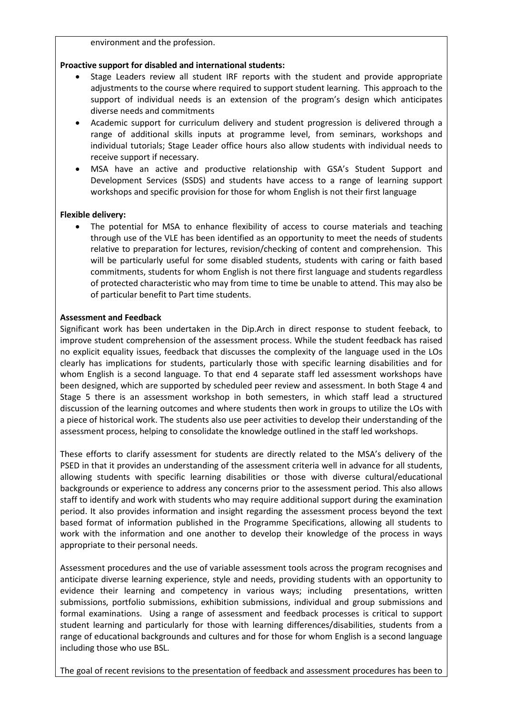environment and the profession.

#### **Proactive support for disabled and international students:**

- Stage Leaders review all student IRF reports with the student and provide appropriate adjustments to the course where required to support student learning. This approach to the support of individual needs is an extension of the program's design which anticipates diverse needs and commitments
- Academic support for curriculum delivery and student progression is delivered through a range of additional skills inputs at programme level, from seminars, workshops and individual tutorials; Stage Leader office hours also allow students with individual needs to receive support if necessary.
- MSA have an active and productive relationship with GSA's Student Support and Development Services (SSDS) and students have access to a range of learning support workshops and specific provision for those for whom English is not their first language

#### **Flexible delivery:**

The potential for MSA to enhance flexibility of access to course materials and teaching through use of the VLE has been identified as an opportunity to meet the needs of students relative to preparation for lectures, revision/checking of content and comprehension. This will be particularly useful for some disabled students, students with caring or faith based commitments, students for whom English is not there first language and students regardless of protected characteristic who may from time to time be unable to attend. This may also be of particular benefit to Part time students.

#### **Assessment and Feedback**

Significant work has been undertaken in the Dip.Arch in direct response to student feeback, to improve student comprehension of the assessment process. While the student feedback has raised no explicit equality issues, feedback that discusses the complexity of the language used in the LOs clearly has implications for students, particularly those with specific learning disabilities and for whom English is a second language. To that end 4 separate staff led assessment workshops have been designed, which are supported by scheduled peer review and assessment. In both Stage 4 and Stage 5 there is an assessment workshop in both semesters, in which staff lead a structured discussion of the learning outcomes and where students then work in groups to utilize the LOs with a piece of historical work. The students also use peer activities to develop their understanding of the assessment process, helping to consolidate the knowledge outlined in the staff led workshops.

These efforts to clarify assessment for students are directly related to the MSA's delivery of the PSED in that it provides an understanding of the assessment criteria well in advance for all students, allowing students with specific learning disabilities or those with diverse cultural/educational backgrounds or experience to address any concerns prior to the assessment period. This also allows staff to identify and work with students who may require additional support during the examination period. It also provides information and insight regarding the assessment process beyond the text based format of information published in the Programme Specifications, allowing all students to work with the information and one another to develop their knowledge of the process in ways appropriate to their personal needs.

Assessment procedures and the use of variable assessment tools across the program recognises and anticipate diverse learning experience, style and needs, providing students with an opportunity to evidence their learning and competency in various ways; including presentations, written submissions, portfolio submissions, exhibition submissions, individual and group submissions and formal examinations. Using a range of assessment and feedback processes is critical to support student learning and particularly for those with learning differences/disabilities, students from a range of educational backgrounds and cultures and for those for whom English is a second language including those who use BSL.

The goal of recent revisions to the presentation of feedback and assessment procedures has been to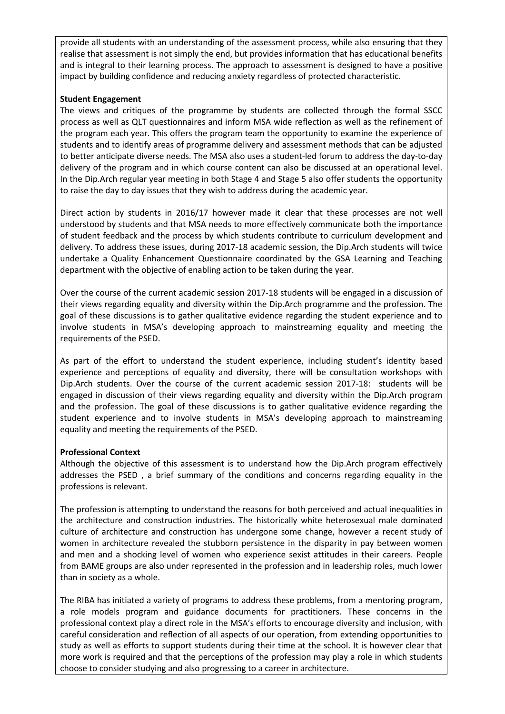provide all students with an understanding of the assessment process, while also ensuring that they realise that assessment is not simply the end, but provides information that has educational benefits and is integral to their learning process. The approach to assessment is designed to have a positive impact by building confidence and reducing anxiety regardless of protected characteristic.

#### **Student Engagement**

The views and critiques of the programme by students are collected through the formal SSCC process as well as QLT questionnaires and inform MSA wide reflection as well as the refinement of the program each year. This offers the program team the opportunity to examine the experience of students and to identify areas of programme delivery and assessment methods that can be adjusted to better anticipate diverse needs. The MSA also uses a student-led forum to address the day-to-day delivery of the program and in which course content can also be discussed at an operational level. In the Dip.Arch regular year meeting in both Stage 4 and Stage 5 also offer students the opportunity to raise the day to day issues that they wish to address during the academic year.

Direct action by students in 2016/17 however made it clear that these processes are not well understood by students and that MSA needs to more effectively communicate both the importance of student feedback and the process by which students contribute to curriculum development and delivery. To address these issues, during 2017-18 academic session, the Dip.Arch students will twice undertake a Quality Enhancement Questionnaire coordinated by the GSA Learning and Teaching department with the objective of enabling action to be taken during the year.

Over the course of the current academic session 2017-18 students will be engaged in a discussion of their views regarding equality and diversity within the Dip.Arch programme and the profession. The goal of these discussions is to gather qualitative evidence regarding the student experience and to involve students in MSA's developing approach to mainstreaming equality and meeting the requirements of the PSED.

As part of the effort to understand the student experience, including student's identity based experience and perceptions of equality and diversity, there will be consultation workshops with Dip.Arch students. Over the course of the current academic session 2017-18: students will be engaged in discussion of their views regarding equality and diversity within the Dip.Arch program and the profession. The goal of these discussions is to gather qualitative evidence regarding the student experience and to involve students in MSA's developing approach to mainstreaming equality and meeting the requirements of the PSED.

#### **Professional Context**

Although the objective of this assessment is to understand how the Dip.Arch program effectively addresses the PSED , a brief summary of the conditions and concerns regarding equality in the professions is relevant.

The profession is attempting to understand the reasons for both perceived and actual inequalities in the architecture and construction industries. The historically white heterosexual male dominated culture of architecture and construction has undergone some change, however a recent study of women in architecture revealed the stubborn persistence in the disparity in pay between women and men and a shocking level of women who experience sexist attitudes in their careers. People from BAME groups are also under represented in the profession and in leadership roles, much lower than in society as a whole.

The RIBA has initiated a variety of programs to address these problems, from a mentoring program, a role models program and guidance documents for practitioners. These concerns in the professional context play a direct role in the MSA's efforts to encourage diversity and inclusion, with careful consideration and reflection of all aspects of our operation, from extending opportunities to study as well as efforts to support students during their time at the school. It is however clear that more work is required and that the perceptions of the profession may play a role in which students choose to consider studying and also progressing to a career in architecture.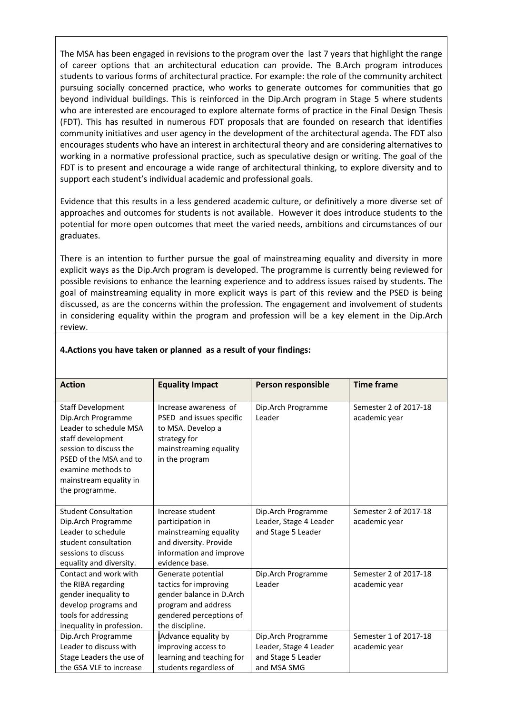The MSA has been engaged in revisions to the program over the last 7 years that highlight the range of career options that an architectural education can provide. The B.Arch program introduces students to various forms of architectural practice. For example: the role of the community architect pursuing socially concerned practice, who works to generate outcomes for communities that go beyond individual buildings. This is reinforced in the Dip.Arch program in Stage 5 where students who are interested are encouraged to explore alternate forms of practice in the Final Design Thesis (FDT). This has resulted in numerous FDT proposals that are founded on research that identifies community initiatives and user agency in the development of the architectural agenda. The FDT also encourages students who have an interest in architectural theory and are considering alternatives to working in a normative professional practice, such as speculative design or writing. The goal of the FDT is to present and encourage a wide range of architectural thinking, to explore diversity and to support each student's individual academic and professional goals.

Evidence that this results in a less gendered academic culture, or definitively a more diverse set of approaches and outcomes for students is not available. However it does introduce students to the potential for more open outcomes that meet the varied needs, ambitions and circumstances of our graduates.

There is an intention to further pursue the goal of mainstreaming equality and diversity in more explicit ways as the Dip.Arch program is developed. The programme is currently being reviewed for possible revisions to enhance the learning experience and to address issues raised by students. The goal of mainstreaming equality in more explicit ways is part of this review and the PSED is being discussed, as are the concerns within the profession. The engagement and involvement of students in considering equality within the program and profession will be a key element in the Dip.Arch review.

| <b>Action</b>                                                                                                                                                                                                       | <b>Equality Impact</b>                                                                                                                       | Person responsible                                                                | <b>Time frame</b>                      |
|---------------------------------------------------------------------------------------------------------------------------------------------------------------------------------------------------------------------|----------------------------------------------------------------------------------------------------------------------------------------------|-----------------------------------------------------------------------------------|----------------------------------------|
| <b>Staff Development</b><br>Dip.Arch Programme<br>Leader to schedule MSA<br>staff development<br>session to discuss the<br>PSED of the MSA and to<br>examine methods to<br>mainstream equality in<br>the programme. | Increase awareness of<br>PSED and issues specific<br>to MSA. Develop a<br>strategy for<br>mainstreaming equality<br>in the program           | Dip.Arch Programme<br>Leader                                                      | Semester 2 of 2017-18<br>academic year |
| <b>Student Consultation</b><br>Dip.Arch Programme<br>Leader to schedule<br>student consultation<br>sessions to discuss<br>equality and diversity.                                                                   | Increase student<br>participation in<br>mainstreaming equality<br>and diversity. Provide<br>information and improve<br>evidence base.        | Dip.Arch Programme<br>Leader, Stage 4 Leader<br>and Stage 5 Leader                | Semester 2 of 2017-18<br>academic year |
| Contact and work with<br>the RIBA regarding<br>gender inequality to<br>develop programs and<br>tools for addressing<br>inequality in profession.                                                                    | Generate potential<br>tactics for improving<br>gender balance in D.Arch<br>program and address<br>gendered perceptions of<br>the discipline. | Dip.Arch Programme<br>Leader                                                      | Semester 2 of 2017-18<br>academic year |
| Dip.Arch Programme<br>Leader to discuss with<br>Stage Leaders the use of<br>the GSA VLE to increase                                                                                                                 | Advance equality by<br>improving access to<br>learning and teaching for<br>students regardless of                                            | Dip.Arch Programme<br>Leader, Stage 4 Leader<br>and Stage 5 Leader<br>and MSA SMG | Semester 1 of 2017-18<br>academic year |

#### **4.Actions you have taken or planned as a result of your findings:**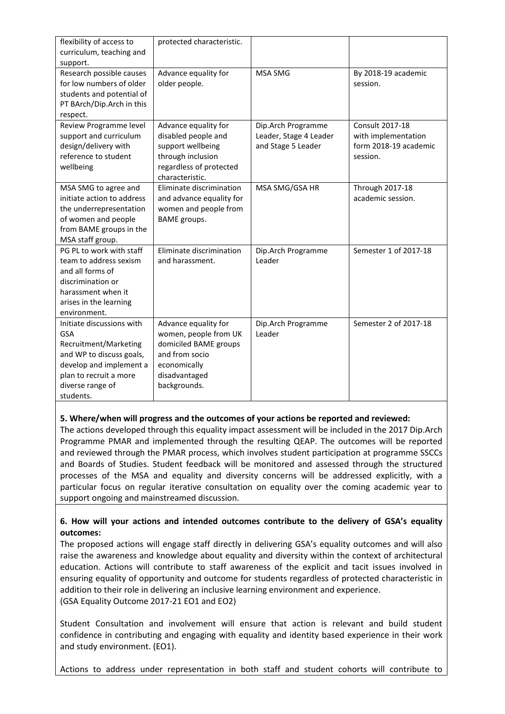| flexibility of access to<br>curriculum, teaching and<br>support.                                                                                                                   | protected characteristic.                                                                                                                 |                                                                    |                                                                                    |
|------------------------------------------------------------------------------------------------------------------------------------------------------------------------------------|-------------------------------------------------------------------------------------------------------------------------------------------|--------------------------------------------------------------------|------------------------------------------------------------------------------------|
| Research possible causes<br>for low numbers of older<br>students and potential of<br>PT BArch/Dip.Arch in this<br>respect.                                                         | Advance equality for<br>older people.                                                                                                     | MSA SMG                                                            | By 2018-19 academic<br>session.                                                    |
| Review Programme level<br>support and curriculum<br>design/delivery with<br>reference to student<br>wellbeing                                                                      | Advance equality for<br>disabled people and<br>support wellbeing<br>through inclusion<br>regardless of protected<br>characteristic.       | Dip.Arch Programme<br>Leader, Stage 4 Leader<br>and Stage 5 Leader | <b>Consult 2017-18</b><br>with implementation<br>form 2018-19 academic<br>session. |
| MSA SMG to agree and<br>initiate action to address<br>the underrepresentation<br>of women and people<br>from BAME groups in the<br>MSA staff group.                                | Eliminate discrimination<br>and advance equality for<br>women and people from<br><b>BAME</b> groups.                                      | MSA SMG/GSA HR                                                     | <b>Through 2017-18</b><br>academic session.                                        |
| PG PL to work with staff<br>team to address sexism<br>and all forms of<br>discrimination or<br>harassment when it<br>arises in the learning<br>environment.                        | Eliminate discrimination<br>and harassment.                                                                                               | Dip.Arch Programme<br>Leader                                       | Semester 1 of 2017-18                                                              |
| Initiate discussions with<br><b>GSA</b><br>Recruitment/Marketing<br>and WP to discuss goals,<br>develop and implement a<br>plan to recruit a more<br>diverse range of<br>students. | Advance equality for<br>women, people from UK<br>domiciled BAME groups<br>and from socio<br>economically<br>disadvantaged<br>backgrounds. | Dip.Arch Programme<br>Leader                                       | Semester 2 of 2017-18                                                              |

## **5. Where/when will progress and the outcomes of your actions be reported and reviewed:**

The actions developed through this equality impact assessment will be included in the 2017 Dip.Arch Programme PMAR and implemented through the resulting QEAP. The outcomes will be reported and reviewed through the PMAR process, which involves student participation at programme SSCCs and Boards of Studies. Student feedback will be monitored and assessed through the structured processes of the MSA and equality and diversity concerns will be addressed explicitly, with a particular focus on regular iterative consultation on equality over the coming academic year to support ongoing and mainstreamed discussion.

## **6. How will your actions and intended outcomes contribute to the delivery of GSA's equality outcomes:**

The proposed actions will engage staff directly in delivering GSA's equality outcomes and will also raise the awareness and knowledge about equality and diversity within the context of architectural education. Actions will contribute to staff awareness of the explicit and tacit issues involved in ensuring equality of opportunity and outcome for students regardless of protected characteristic in addition to their role in delivering an inclusive learning environment and experience. (GSA Equality Outcome 2017-21 EO1 and EO2)

Student Consultation and involvement will ensure that action is relevant and build student confidence in contributing and engaging with equality and identity based experience in their work and study environment. (EO1).

Actions to address under representation in both staff and student cohorts will contribute to